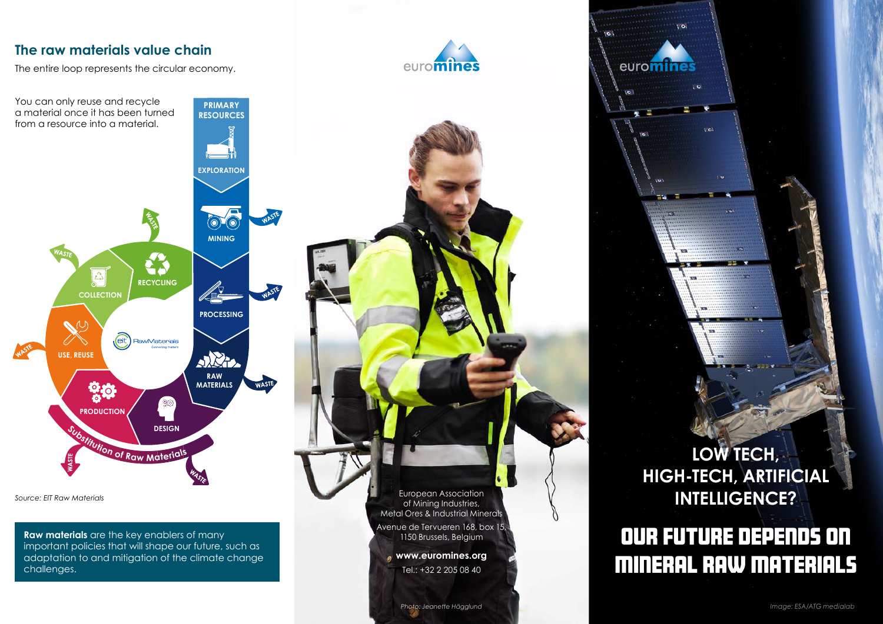#### **The raw materials value chain**

The entire loop represents the circular economy.

**PRIMARY RESOURCES**

**EXPLORATION**



You can only reuse and recycle a material once it has been turned from a resource into a material.

 $\odot$ **MINING CA**  $\Delta$ **RECYCLING COLLECTION PROCESSING** (eit) RawMaterials WAST **USE, REUSE Allen RAW MATERIALS WASTE**  $\frac{1}{2}$ \$33 **PRODUCTION DESIGN <sup>S</sup>ubstitutio<sup>n</sup> <sup>o</sup><sup>f</sup> <sup>R</sup>a<sup>w</sup> <sup>M</sup>aterial<sup>s</sup>**

*Source: EIT Raw Materials*

**Raw materials** are the key enablers of many important policies that will shape our future, such as adaptation to and mitigation of the climate change challenges.

European Association of Mining Industries, Metal Ores & Industrial Minerals Avenue de Tervueren 168, box 15, 1150 Brussels, Belgium

**www.euromines.org** Tel.: +32 2 205 08 40

**LOW TECH, HIGH-TECH, ARTIFICIAL INTELLIGENCE?**

 $\mathbf{r}$ 

e.

 $\mathbb{R}$ 

euromine

÷ь

### Our future depends on mineral raw materials

*Photo: Jeanette Hägglund*